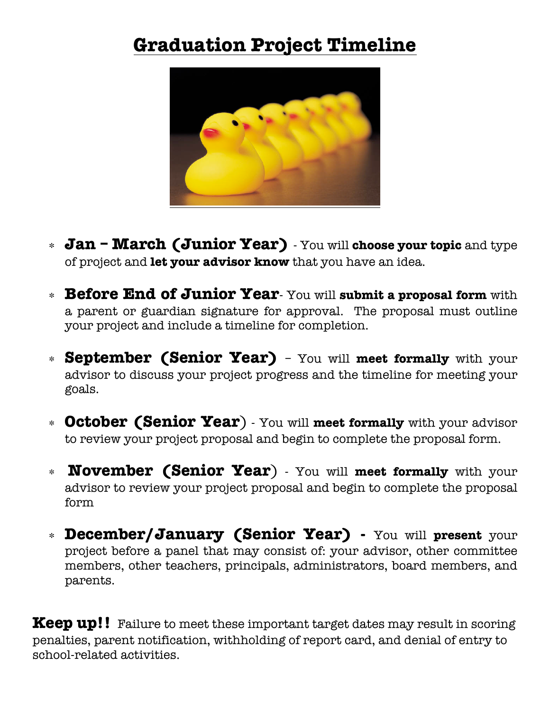## **Graduation Project Timeline**



- ∗ **Jan March (Junior Year)** You will **choose your topic** and type of project and **let your advisor know** that you have an idea.
- ∗ **Before End of Junior Year** You will **submit a proposal form** with a parent or guardian signature for approval. The proposal must outline your project and include a timeline for completion.
- ∗ **September (Senior Year)** You will **meet formally** with your advisor to discuss your project progress and the timeline for meeting your goals.
- ∗ **October (Senior Year**) You will **meet formally** with your advisor to review your project proposal and begin to complete the proposal form.
- ∗ **November (Senior Year**) You will **meet formally** with your advisor to review your project proposal and begin to complete the proposal form
- ∗ **December/January (Senior Year) -** You will **present** your project before a panel that may consist of: your advisor, other committee members, other teachers, principals, administrators, board members, and parents.

**Keep up!!** Failure to meet these important target dates may result in scoring penalties, parent notification, withholding of report card, and denial of entry to school-related activities.